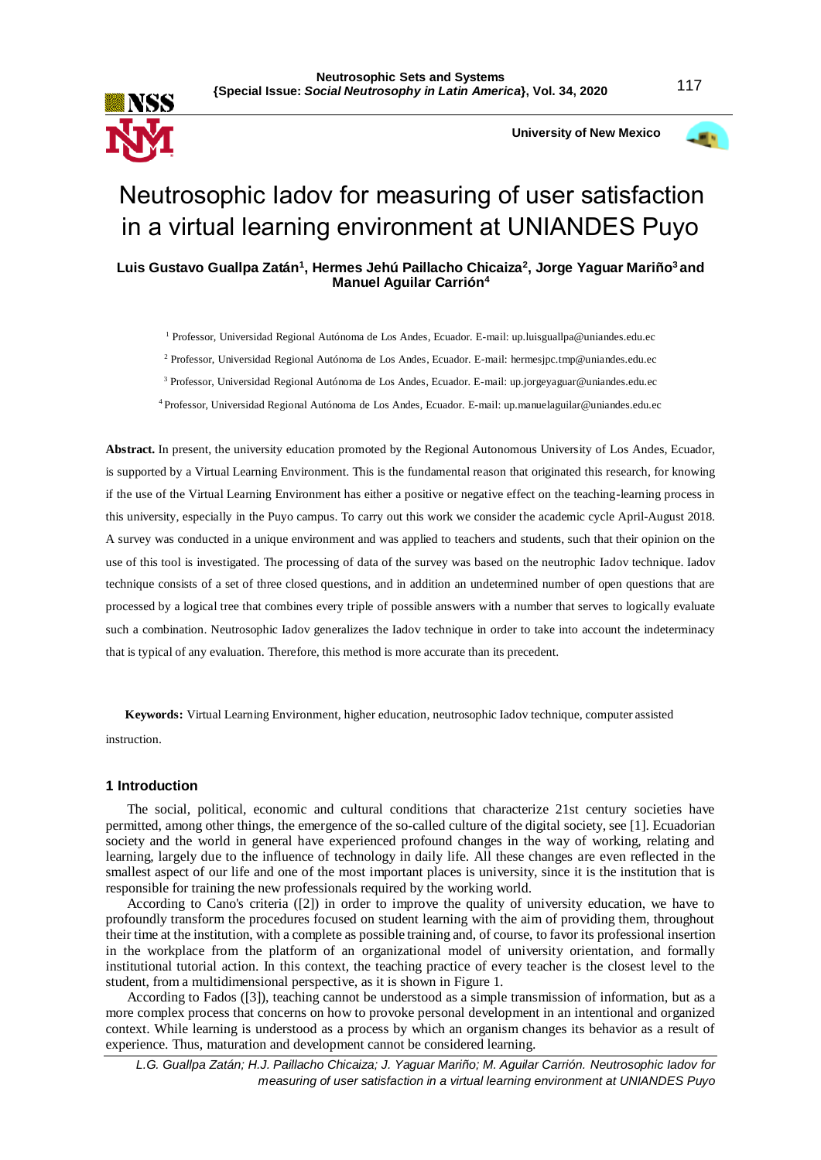

 **University of New Mexico**



# Neutrosophic Iadov for measuring of user satisfaction in a virtual learning environment at UNIANDES Puyo

## **Luis Gustavo Guallpa Zatán<sup>1</sup> , Hermes Jehú Paillacho Chicaiza<sup>2</sup> , Jorge Yaguar Mariño<sup>3</sup>and Manuel Aguilar Carrión<sup>4</sup>**

<sup>1</sup> Professor, Universidad Regional Autónoma de Los Andes, Ecuador. E-mail: up.luisguallpa@uniandes.edu.ec

<sup>2</sup> Professor, Universidad Regional Autónoma de Los Andes, Ecuador. E-mail: hermesjpc.tmp@uniandes.edu.ec

<sup>3</sup> Professor, Universidad Regional Autónoma de Los Andes, Ecuador. E-mail: up.jorgeyaguar@uniandes.edu.ec

<sup>4</sup>Professor, Universidad Regional Autónoma de Los Andes, Ecuador. E-mail: up.manuelaguilar@uniandes.edu.ec

**Abstract.** In present, the university education promoted by the Regional Autonomous University of Los Andes, Ecuador, is supported by a Virtual Learning Environment. This is the fundamental reason that originated this research, for knowing if the use of the Virtual Learning Environment has either a positive or negative effect on the teaching-learning process in this university, especially in the Puyo campus. To carry out this work we consider the academic cycle April-August 2018. A survey was conducted in a unique environment and was applied to teachers and students, such that their opinion on the use of this tool is investigated. The processing of data of the survey was based on the neutrophic Iadov technique. Iadov technique consists of a set of three closed questions, and in addition an undetermined number of open questions that are processed by a logical tree that combines every triple of possible answers with a number that serves to logically evaluate such a combination. Neutrosophic Iadov generalizes the Iadov technique in order to take into account the indeterminacy that is typical of any evaluation. Therefore, this method is more accurate than its precedent.

**Keywords:** Virtual Learning Environment, higher education, neutrosophic Iadov technique, computer assisted

instruction.

## **1 Introduction**

The social, political, economic and cultural conditions that characterize 21st century societies have permitted, among other things, the emergence of the so-called culture of the digital society, see [1]. Ecuadorian society and the world in general have experienced profound changes in the way of working, relating and learning, largely due to the influence of technology in daily life. All these changes are even reflected in the smallest aspect of our life and one of the most important places is university, since it is the institution that is responsible for training the new professionals required by the working world.

According to Cano's criteria ([2]) in order to improve the quality of university education, we have to profoundly transform the procedures focused on student learning with the aim of providing them, throughout their time at the institution, with a complete as possible training and, of course, to favor its professional insertion in the workplace from the platform of an organizational model of university orientation, and formally institutional tutorial action. In this context, the teaching practice of every teacher is the closest level to the student, from a multidimensional perspective, as it is shown in Figure 1.

According to Fados ([3]), teaching cannot be understood as a simple transmission of information, but as a more complex process that concerns on how to provoke personal development in an intentional and organized context. While learning is understood as a process by which an organism changes its behavior as a result of experience. Thus, maturation and development cannot be considered learning.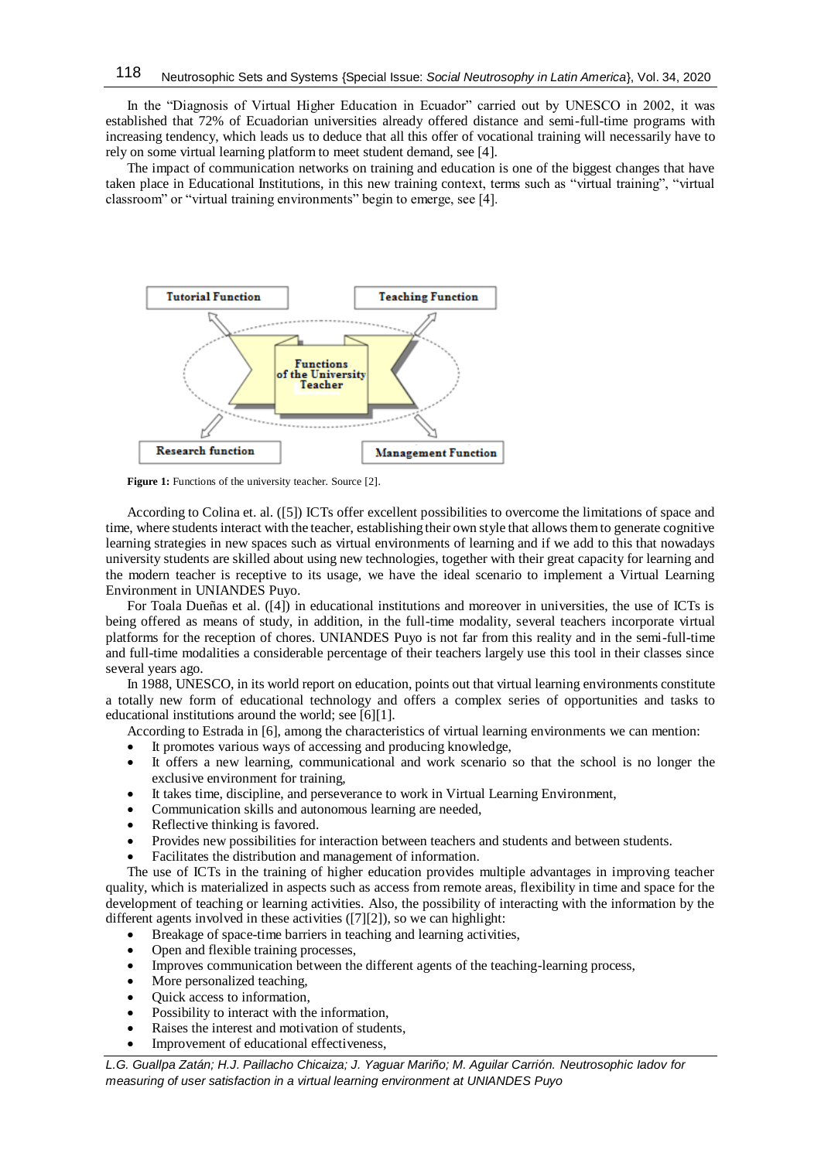In the "Diagnosis of Virtual Higher Education in Ecuador" carried out by UNESCO in 2002, it was established that 72% of Ecuadorian universities already offered distance and semi-full-time programs with increasing tendency, which leads us to deduce that all this offer of vocational training will necessarily have to rely on some virtual learning platform to meet student demand, see [4].

The impact of communication networks on training and education is one of the biggest changes that have taken place in Educational Institutions, in this new training context, terms such as "virtual training", "virtual classroom" or "virtual training environments" begin to emerge, see [4].



**Figure 1:** Functions of the university teacher. Source [2].

According to Colina et. al. ([5]) ICTs offer excellent possibilities to overcome the limitations of space and time, where students interact with the teacher, establishing their own style that allows them to generate cognitive learning strategies in new spaces such as virtual environments of learning and if we add to this that nowadays university students are skilled about using new technologies, together with their great capacity for learning and the modern teacher is receptive to its usage, we have the ideal scenario to implement a Virtual Learning Environment in UNIANDES Puyo.

For Toala Dueñas et al. ([4]) in educational institutions and moreover in universities, the use of ICTs is being offered as means of study, in addition, in the full-time modality, several teachers incorporate virtual platforms for the reception of chores. UNIANDES Puyo is not far from this reality and in the semi-full-time and full-time modalities a considerable percentage of their teachers largely use this tool in their classes since several years ago.

In 1988, UNESCO, in its world report on education, points out that virtual learning environments constitute a totally new form of educational technology and offers a complex series of opportunities and tasks to educational institutions around the world; see [6][1].

According to Estrada in [6], among the characteristics of virtual learning environments we can mention:

- It promotes various ways of accessing and producing knowledge,
- It offers a new learning, communicational and work scenario so that the school is no longer the exclusive environment for training,
- It takes time, discipline, and perseverance to work in Virtual Learning Environment,
- Communication skills and autonomous learning are needed,
- Reflective thinking is favored.
- Provides new possibilities for interaction between teachers and students and between students.
- Facilitates the distribution and management of information.

The use of ICTs in the training of higher education provides multiple advantages in improving teacher quality, which is materialized in aspects such as access from remote areas, flexibility in time and space for the development of teaching or learning activities. Also, the possibility of interacting with the information by the different agents involved in these activities ([7][2]), so we can highlight:

- Breakage of space-time barriers in teaching and learning activities,
- Open and flexible training processes,
- Improves communication between the different agents of the teaching-learning process,
- More personalized teaching,
- Quick access to information,
- Possibility to interact with the information,
- Raises the interest and motivation of students,
- Improvement of educational effectiveness,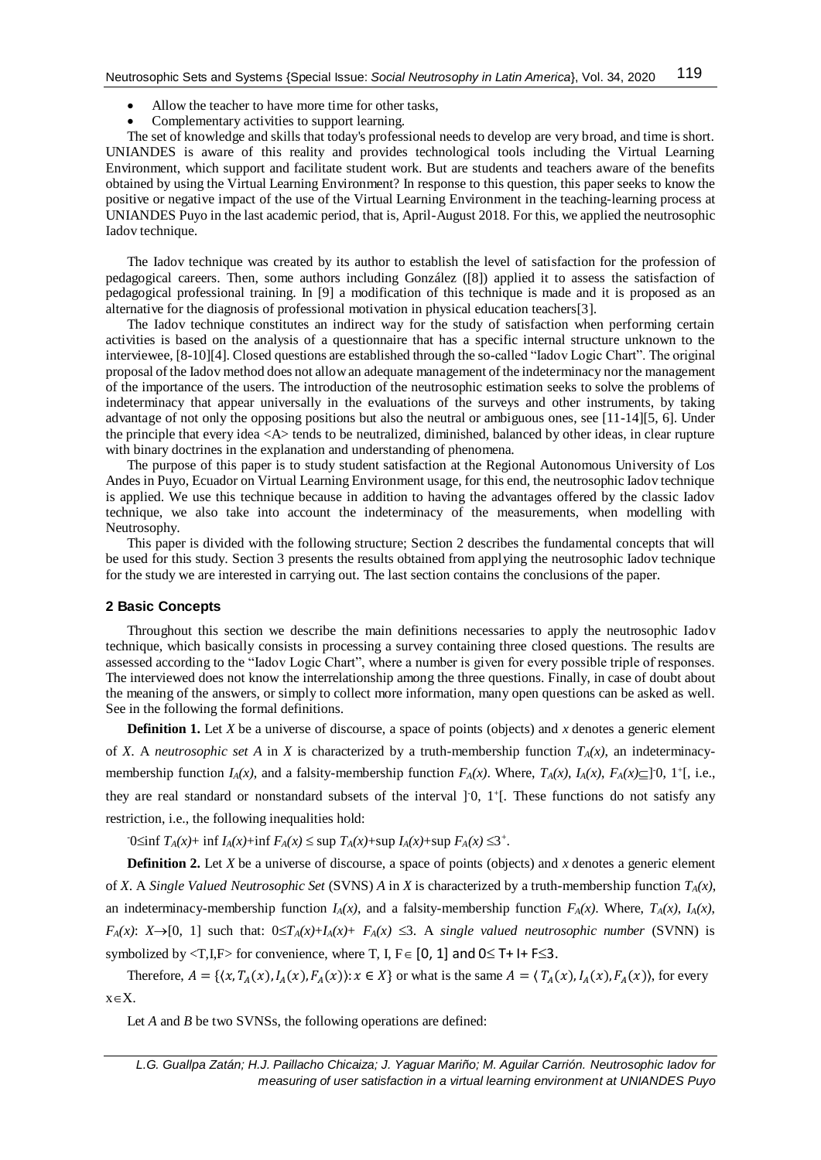- Allow the teacher to have more time for other tasks,
- Complementary activities to support learning.

The set of knowledge and skills that today's professional needs to develop are very broad, and time is short. UNIANDES is aware of this reality and provides technological tools including the Virtual Learning Environment, which support and facilitate student work. But are students and teachers aware of the benefits obtained by using the Virtual Learning Environment? In response to this question, this paper seeks to know the positive or negative impact of the use of the Virtual Learning Environment in the teaching-learning process at UNIANDES Puyo in the last academic period, that is, April-August 2018. For this, we applied the neutrosophic Iadov technique.

The Iadov technique was created by its author to establish the level of satisfaction for the profession of pedagogical careers. Then, some authors including González ([8]) applied it to assess the satisfaction of pedagogical professional training. In [9] a modification of this technique is made and it is proposed as an alternative for the diagnosis of professional motivation in physical education teachers[3].

The Iadov technique constitutes an indirect way for the study of satisfaction when performing certain activities is based on the analysis of a questionnaire that has a specific internal structure unknown to the interviewee, [8-10][4]. Closed questions are established through the so-called "Iadov Logic Chart". The original proposal of the Iadov method does not allow an adequate management of the indeterminacy nor the management of the importance of the users. The introduction of the neutrosophic estimation seeks to solve the problems of indeterminacy that appear universally in the evaluations of the surveys and other instruments, by taking advantage of not only the opposing positions but also the neutral or ambiguous ones, see [11-14][5, 6]. Under the principle that every idea <A> tends to be neutralized, diminished, balanced by other ideas, in clear rupture with binary doctrines in the explanation and understanding of phenomena.

The purpose of this paper is to study student satisfaction at the Regional Autonomous University of Los Andes in Puyo, Ecuador on Virtual Learning Environment usage, for this end, the neutrosophic Iadov technique is applied. We use this technique because in addition to having the advantages offered by the classic Iadov technique, we also take into account the indeterminacy of the measurements, when modelling with Neutrosophy.

This paper is divided with the following structure; Section 2 describes the fundamental concepts that will be used for this study. Section 3 presents the results obtained from applying the neutrosophic Iadov technique for the study we are interested in carrying out. The last section contains the conclusions of the paper.

#### **2 Basic Concepts**

Throughout this section we describe the main definitions necessaries to apply the neutrosophic Iadov technique, which basically consists in processing a survey containing three closed questions. The results are assessed according to the "Iadov Logic Chart", where a number is given for every possible triple of responses. The interviewed does not know the interrelationship among the three questions. Finally, in case of doubt about the meaning of the answers, or simply to collect more information, many open questions can be asked as well. See in the following the formal definitions.

**Definition 1.** Let *X* be a universe of discourse, a space of points (objects) and *x* denotes a generic element of *X*. A *neutrosophic set A* in *X* is characterized by a truth-membership function  $T_A(x)$ , an indeterminacymembership function  $I_A(x)$ , and a falsity-membership function  $F_A(x)$ . Where,  $T_A(x)$ ,  $I_A(x)$ ,  $F_A(x) \subseteq ]0, 1^+[$ , i.e., they are real standard or nonstandard subsets of the interval  $]$ <sup>-0</sup>, 1<sup>+</sup>[. These functions do not satisfy any restriction, i.e., the following inequalities hold:

 $T_0 \leq \inf T_A(x) + \inf I_A(x) + \inf F_A(x) \leq \sup T_A(x) + \sup I_A(x) + \sup F_A(x) \leq 3^+.$ 

**Definition 2.** Let *X* be a universe of discourse, a space of points (objects) and *x* denotes a generic element of *X*. A *Single Valued Neutrosophic Set* (SVNS) *A* in *X* is characterized by a truth-membership function *TA(x)*, an indeterminacy-membership function  $I_A(x)$ , and a falsity-membership function  $F_A(x)$ . Where,  $T_A(x)$ ,  $I_A(x)$ , *F*<sub>*A*</sub>(*x*): *X* $\rightarrow$  [0, 1] such that:  $0 \le T_A(x) + I_A(x) + F_A(x) \le 3$ . A *single valued neutrosophic number* (SVNN) is symbolized by  $\langle T, I, F \rangle$  for convenience, where T, I,  $F \in [0, 1]$  and  $0 \le T + I + F \le 3$ .

Therefore,  $A = \{ (x, T_A(x), I_A(x), F_A(x)) : x \in X \}$  or what is the same  $A = \langle T_A(x), I_A(x), F_A(x) \rangle$ , for every  $x \in X$ .

Let *A* and *B* be two SVNSs, the following operations are defined: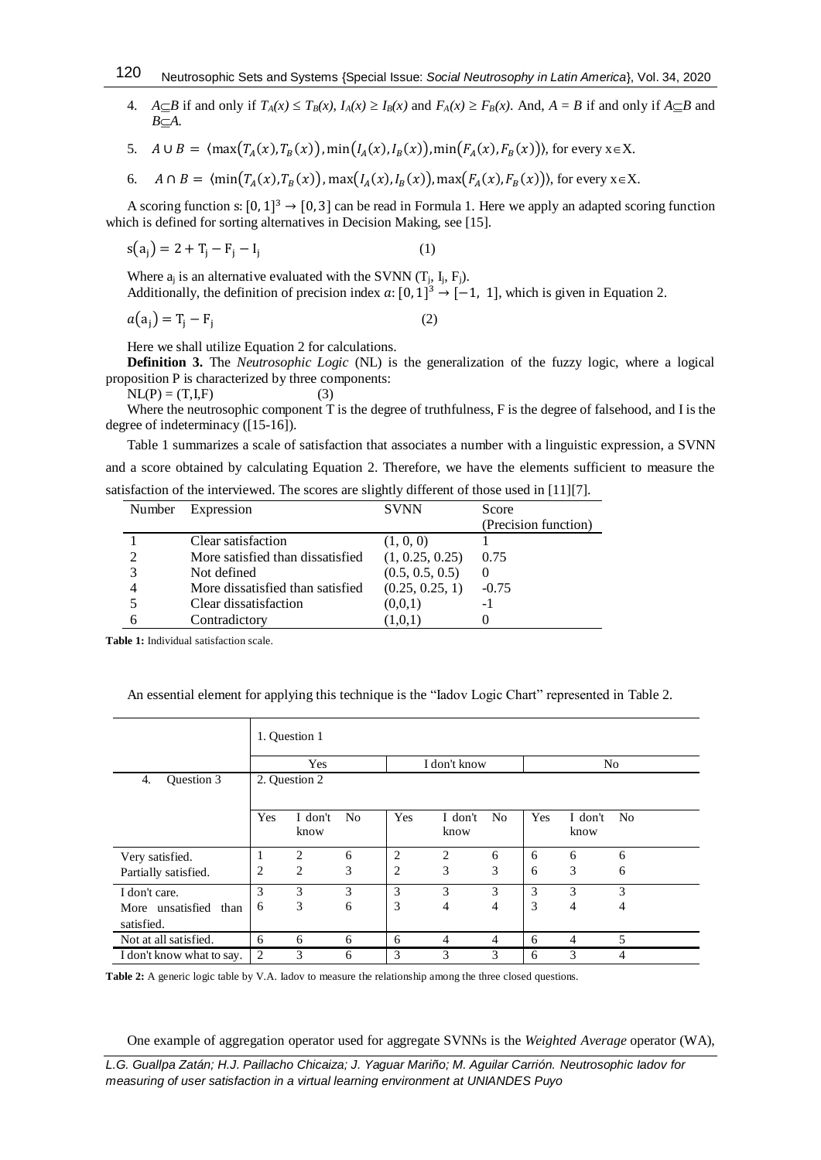4.  $A \subseteq B$  if and only if  $T_A(x) \le T_B(x)$ ,  $I_A(x) \ge I_B(x)$  and  $F_A(x) \ge F_B(x)$ . And,  $A = B$  if and only if  $A \subseteq B$  and  $B \subseteq A$ .

5.  $A \cup B = \langle \max(T_A(x), T_B(x)), \min(T_A(x), T_B(x)), \min(F_A(x), F_B(x)) \rangle$ , for every  $x \in X$ .

6.  $A \cap B = \langle \min(T_A(x), T_B(x)) , \max(T_A(x), T_B(x)) , \max(F_A(x), F_B(x)) \rangle$ , for every  $x \in X$ .

A scoring function s:  $[0, 1]^3 \rightarrow [0, 3]$  can be read in Formula 1. Here we apply an adapted scoring function which is defined for sorting alternatives in Decision Making, see [15].

$$
s(a_j) = 2 + T_j - F_j - I_j \tag{1}
$$

Where  $a_i$  is an alternative evaluated with the SVNN  $(T_i, I_i, F_i)$ . Additionally, the definition of precision index  $a: [0, 1]^3 \rightarrow [-1, 1]$ , which is given in Equation 2.

$$
a(a_j) = T_j - F_j \tag{2}
$$

Here we shall utilize Equation 2 for calculations.

**Definition 3.** The *Neutrosophic Logic* (NL) is the generalization of the fuzzy logic, where a logical proposition P is characterized by three components:

 $NL(P) = (T, I, F)$  (3)

Where the neutrosophic component T is the degree of truthfulness, F is the degree of falsehood, and I is the degree of indeterminacy ([15-16]).

Table 1 summarizes a scale of satisfaction that associates a number with a linguistic expression, a SVNN and a score obtained by calculating Equation 2. Therefore, we have the elements sufficient to measure the satisfaction of the interviewed. The scores are slightly different of those used in [11][7].

| Number | Expression                       | <b>SVNN</b>     | Score                |
|--------|----------------------------------|-----------------|----------------------|
|        |                                  |                 | (Precision function) |
|        | Clear satisfaction               | (1, 0, 0)       |                      |
|        | More satisfied than dissatisfied | (1, 0.25, 0.25) | 0.75                 |
|        | Not defined                      | (0.5, 0.5, 0.5) |                      |
|        | More dissatisfied than satisfied | (0.25, 0.25, 1) | $-0.75$              |
|        | Clear dissatisfaction            | (0,0,1)         | -1                   |
|        | Contradictory                    | (1,0,1)         |                      |

**Table 1:** Individual satisfaction scale.

An essential element for applying this technique is the "Iadov Logic Chart" represented in Table 2.

|                                     | 1. Question 1 |                 |                |              |                 |                |                |                 |                |
|-------------------------------------|---------------|-----------------|----------------|--------------|-----------------|----------------|----------------|-----------------|----------------|
|                                     | Yes           |                 |                | I don't know |                 |                | N <sub>0</sub> |                 |                |
| Question 3<br>4.                    | 2. Question 2 |                 |                |              |                 |                |                |                 |                |
|                                     | Yes           | I don't<br>know | N <sub>0</sub> | Yes          | I don't<br>know | N <sub>0</sub> | Yes            | I don't<br>know | N <sub>0</sub> |
| Very satisfied.                     | 1             | $\overline{c}$  | 6              | 2            | $\overline{c}$  | 6              | 6              | 6               | 6              |
| Partially satisfied.                | 2             | 2               | 3              | 2            | 3               | 3              | 6              | 3               | 6              |
| I don't care.                       | 3             | 3               | 3              | 3            | 3               | 3              | 3              | 3               | 3              |
| More unsatisfied than<br>satisfied. | 6             | 3               | 6              | 3            | 4               | $\overline{4}$ | 3              | 4               | 4              |
| Not at all satisfied.               | 6             | 6               | 6              | 6            | 4               | 4              | 6              | 4               | 5              |
| I don't know what to say.           | 2             | 3               | 6              | 3            | 3               | 3              | 6              | 3               | 4              |

**Table 2:** A generic logic table by V.A. Iadov to measure the relationship among the three closed questions.

One example of aggregation operator used for aggregate SVNNs is the *Weighted Average* operator (WA),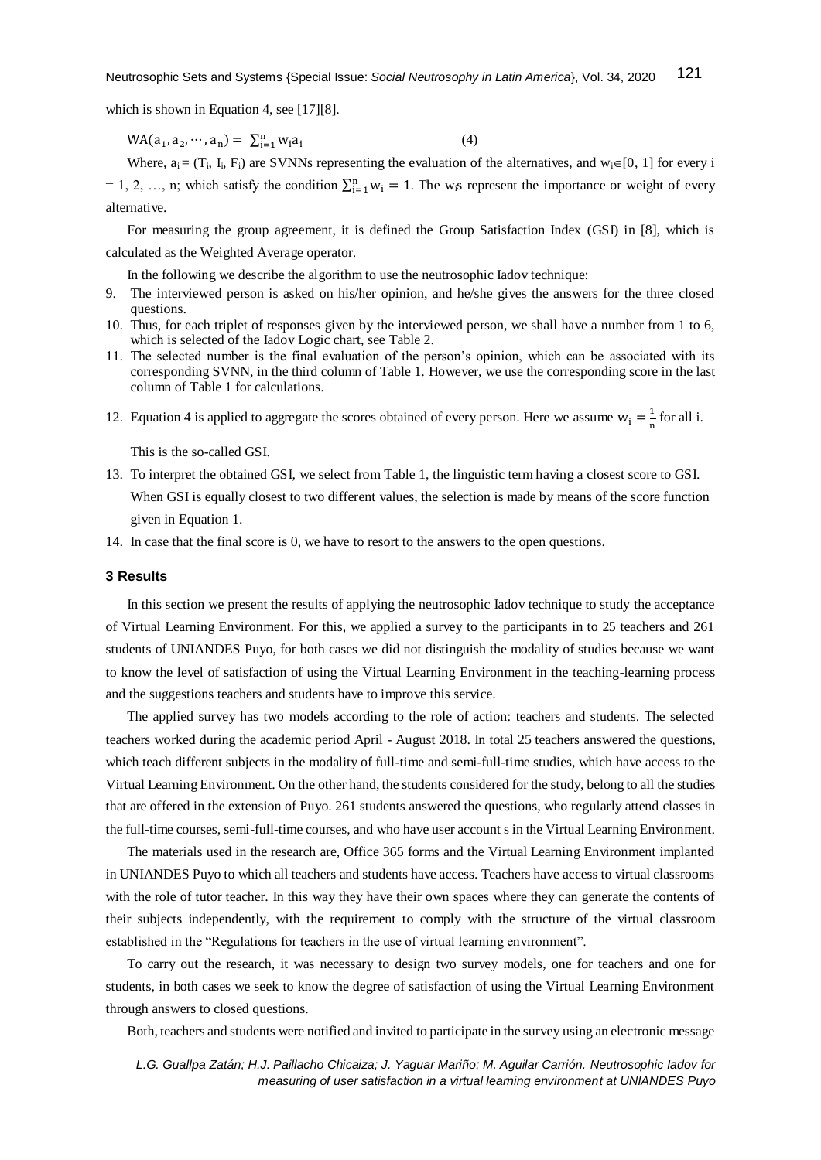which is shown in Equation 4, see [17][8].

 $WA(a_1, a_2, \cdots, a_n) = \sum_{i=1}^{n} w_i a_i$ (4)

Where,  $a_i = (T_i, I_i, F_i)$  are SVNNs representing the evaluation of the alternatives, and  $w_i \in [0, 1]$  for every i = 1, 2, …, n; which satisfy the condition  $\sum_{i=1}^{n} w_i = 1$ . The w<sub>i</sub>s represent the importance or weight of every alternative.

For measuring the group agreement, it is defined the Group Satisfaction Index (GSI) in [8], which is calculated as the Weighted Average operator.

In the following we describe the algorithm to use the neutrosophic Iadov technique:

- 9. The interviewed person is asked on his/her opinion, and he/she gives the answers for the three closed questions.
- 10. Thus, for each triplet of responses given by the interviewed person, we shall have a number from 1 to 6, which is selected of the Iadov Logic chart, see Table 2.
- 11. The selected number is the final evaluation of the person's opinion, which can be associated with its corresponding SVNN, in the third column of Table 1. However, we use the corresponding score in the last column of Table 1 for calculations.
- 12. Equation 4 is applied to aggregate the scores obtained of every person. Here we assume  $w_i = \frac{1}{n}$  $\frac{1}{n}$  for all i.

This is the so-called GSI.

- 13. To interpret the obtained GSI, we select from Table 1, the linguistic term having a closest score to GSI. When GSI is equally closest to two different values, the selection is made by means of the score function given in Equation 1.
- 14. In case that the final score is 0, we have to resort to the answers to the open questions.

#### **3 Results**

In this section we present the results of applying the neutrosophic Iadov technique to study the acceptance of Virtual Learning Environment. For this, we applied a survey to the participants in to 25 teachers and 261 students of UNIANDES Puyo, for both cases we did not distinguish the modality of studies because we want to know the level of satisfaction of using the Virtual Learning Environment in the teaching-learning process and the suggestions teachers and students have to improve this service.

The applied survey has two models according to the role of action: teachers and students. The selected teachers worked during the academic period April - August 2018. In total 25 teachers answered the questions, which teach different subjects in the modality of full-time and semi-full-time studies, which have access to the Virtual Learning Environment. On the other hand, the students considered for the study, belong to all the studies that are offered in the extension of Puyo. 261 students answered the questions, who regularly attend classes in the full-time courses, semi-full-time courses, and who have user account s in the Virtual Learning Environment.

The materials used in the research are, Office 365 forms and the Virtual Learning Environment implanted in UNIANDES Puyo to which all teachers and students have access. Teachers have access to virtual classrooms with the role of tutor teacher. In this way they have their own spaces where they can generate the contents of their subjects independently, with the requirement to comply with the structure of the virtual classroom established in the "Regulations for teachers in the use of virtual learning environment".

To carry out the research, it was necessary to design two survey models, one for teachers and one for students, in both cases we seek to know the degree of satisfaction of using the Virtual Learning Environment through answers to closed questions.

Both, teachers and students were notified and invited to participate in the survey using an electronic message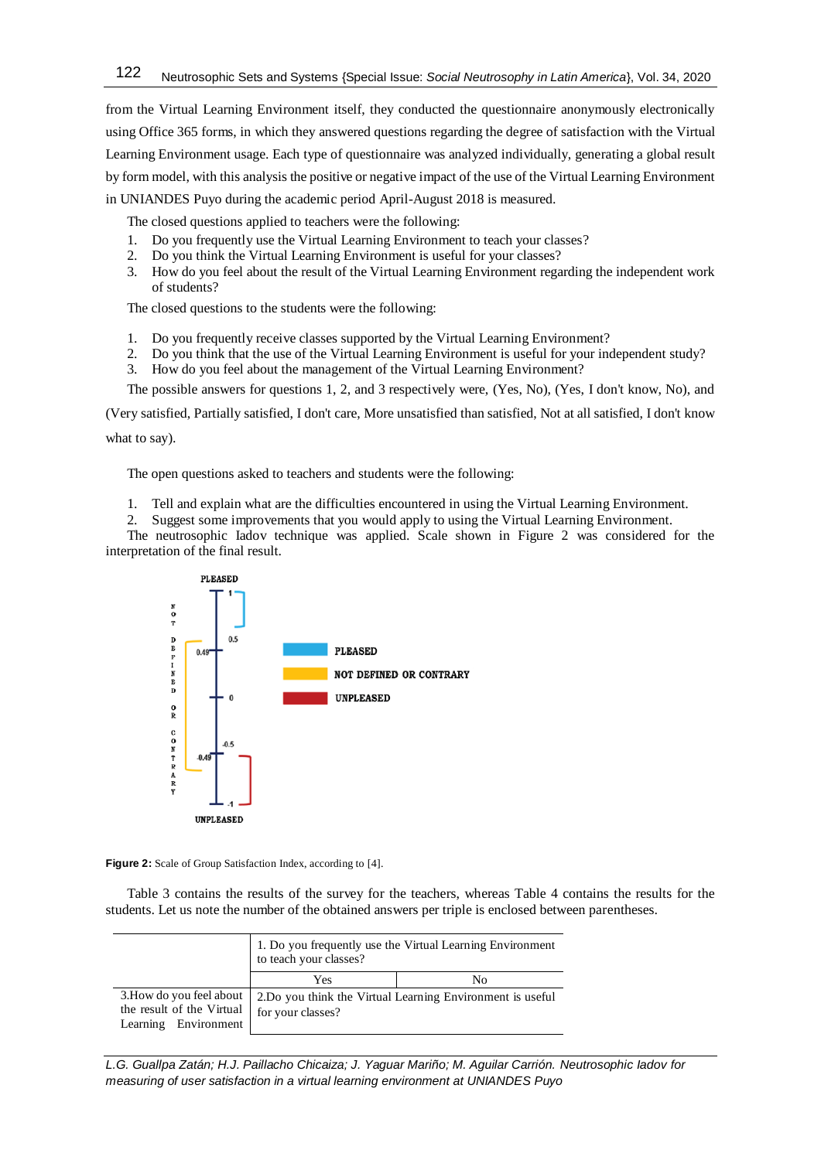from the Virtual Learning Environment itself, they conducted the questionnaire anonymously electronically using Office 365 forms, in which they answered questions regarding the degree of satisfaction with the Virtual Learning Environment usage. Each type of questionnaire was analyzed individually, generating a global result by form model, with this analysis the positive or negative impact of the use of the Virtual Learning Environment in UNIANDES Puyo during the academic period April-August 2018 is measured.

The closed questions applied to teachers were the following:

- 1. Do you frequently use the Virtual Learning Environment to teach your classes?
- 2. Do you think the Virtual Learning Environment is useful for your classes?
- 3. How do you feel about the result of the Virtual Learning Environment regarding the independent work of students?

The closed questions to the students were the following:

- 1. Do you frequently receive classes supported by the Virtual Learning Environment?
- 2. Do you think that the use of the Virtual Learning Environment is useful for your independent study?
- 3. How do you feel about the management of the Virtual Learning Environment?

The possible answers for questions 1, 2, and 3 respectively were, (Yes, No), (Yes, I don't know, No), and

(Very satisfied, Partially satisfied, I don't care, More unsatisfied than satisfied, Not at all satisfied, I don't know

what to say).

The open questions asked to teachers and students were the following:

- 1. Tell and explain what are the difficulties encountered in using the Virtual Learning Environment.
- 2. Suggest some improvements that you would apply to using the Virtual Learning Environment.

The neutrosophic Iadov technique was applied. Scale shown in Figure 2 was considered for the interpretation of the final result.



**Figure 2:** Scale of Group Satisfaction Index, according to [4].

Table 3 contains the results of the survey for the teachers, whereas Table 4 contains the results for the students. Let us note the number of the obtained answers per triple is enclosed between parentheses.

|                                                                               | 1. Do you frequently use the Virtual Learning Environment<br>to teach your classes? |                                                             |  |  |  |
|-------------------------------------------------------------------------------|-------------------------------------------------------------------------------------|-------------------------------------------------------------|--|--|--|
|                                                                               | Yes                                                                                 | No                                                          |  |  |  |
| 3. How do you feel about<br>the result of the Virtual<br>Learning Environment | for your classes?                                                                   | 2. Do you think the Virtual Learning Environment is useful. |  |  |  |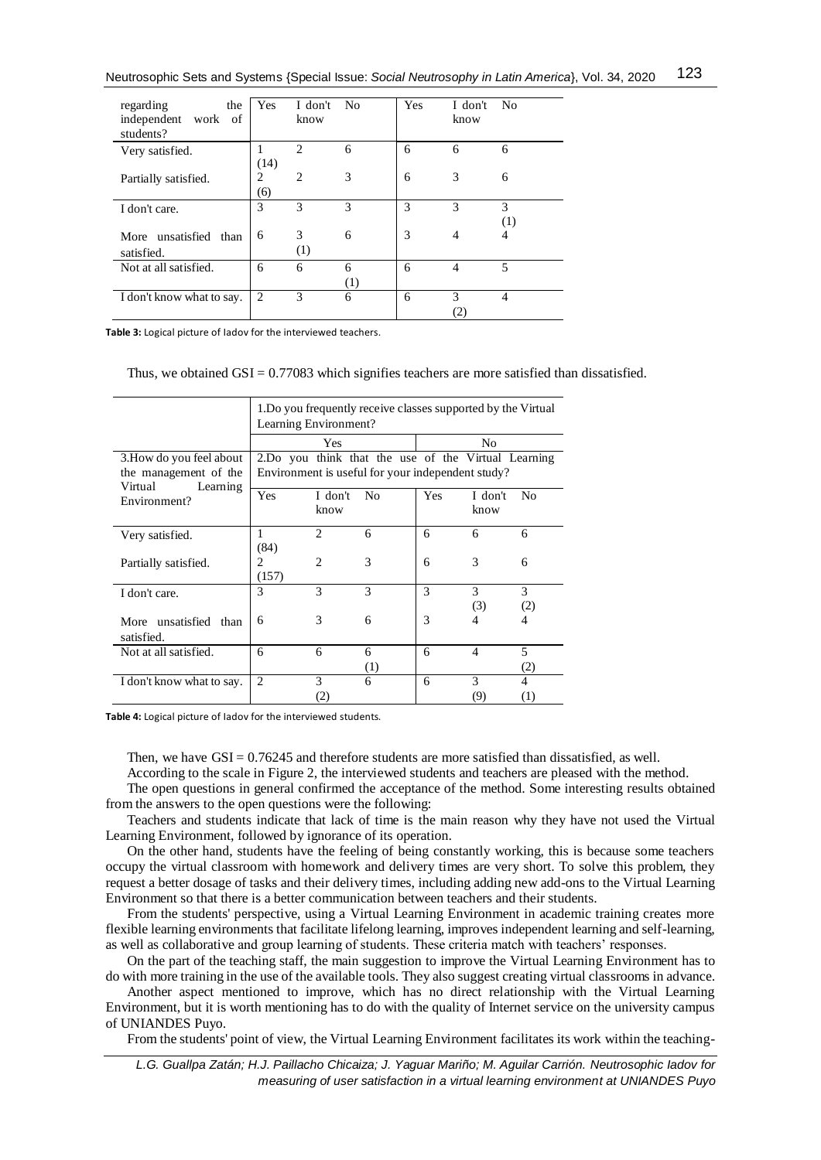Neutrosophic Sets and Systems {Special Issue: *Social Neutrosophy in Latin America*}, Vol. 34, 2020 123

| regarding<br>the<br>independent work of | Yes            | I don't<br>know | - No | <b>Yes</b> | I don't<br>know   | - No           |
|-----------------------------------------|----------------|-----------------|------|------------|-------------------|----------------|
| students?                               | 1              | $\overline{c}$  | 6    | 6          | 6                 | 6              |
| Very satisfied.                         | (14)           |                 |      |            |                   |                |
| Partially satisfied.                    | $\overline{c}$ | $\overline{c}$  | 3    | 6          | 3                 | 6              |
|                                         | (6)            |                 |      |            |                   |                |
| I don't care.                           | 3              | 3               | 3    | 3          | 3                 | 3              |
|                                         |                |                 |      |            |                   | (1)            |
| More unsatisfied than                   | 6              | 3               | 6    | 3          | 4                 | 4              |
| satisfied.                              |                | (1)             |      |            |                   |                |
| Not at all satisfied.                   | 6              | 6               | 6    | 6          | 4                 | 5              |
|                                         |                |                 | (1)  |            |                   |                |
| I don't know what to say.               | $\overline{c}$ | 3               | 6    | 6          | 3                 | $\overline{4}$ |
|                                         |                |                 |      |            | $\left( 2\right)$ |                |

**Table 3:** Logical picture of Iadov for the interviewed teachers.

## Thus, we obtained  $GSI = 0.77083$  which signifies teachers are more satisfied than dissatisfied.

|                                                                          | 1. Do you frequently receive classes supported by the Virtual<br>Learning Environment?                   |                 |                       |     |                          |                                    |  |  |
|--------------------------------------------------------------------------|----------------------------------------------------------------------------------------------------------|-----------------|-----------------------|-----|--------------------------|------------------------------------|--|--|
|                                                                          |                                                                                                          | Yes             |                       | No  |                          |                                    |  |  |
| 3. How do you feel about<br>the management of the<br>Virtual<br>Learning | 2.Do you think that the use of the Virtual Learning<br>Environment is useful for your independent study? |                 |                       |     |                          |                                    |  |  |
| Environment?                                                             | Yes                                                                                                      | I don't<br>know | N <sub>0</sub>        | Yes | I don't<br>know          | N <sub>0</sub>                     |  |  |
| Very satisfied.                                                          | 1<br>(84)                                                                                                | $\overline{c}$  | 6                     | 6   | 6                        | 6                                  |  |  |
| Partially satisfied.                                                     | 2<br>(157)                                                                                               | $\overline{c}$  | 3                     | 6   | 3                        | 6                                  |  |  |
| I don't care.                                                            | 3                                                                                                        | 3               | 3                     | 3   | 3<br>(3)                 | 3<br>(2)                           |  |  |
| More unsatisfied than<br>satisfied.                                      | 6                                                                                                        | 3               | 6                     | 3   | 4                        | 4                                  |  |  |
| Not at all satisfied.                                                    | 6                                                                                                        | 6               | 6<br>$\left(1\right)$ | 6   | $\overline{\mathcal{A}}$ | 5<br>(2)                           |  |  |
| I don't know what to say.                                                | $\overline{c}$                                                                                           | 3<br>(2)        | 6                     | 6   | 3<br>(9)                 | $\overline{4}$<br>$\left(1\right)$ |  |  |

**Table 4:** Logical picture of Iadov for the interviewed students.

Then, we have  $GSI = 0.76245$  and therefore students are more satisfied than dissatisfied, as well.

According to the scale in Figure 2, the interviewed students and teachers are pleased with the method.

The open questions in general confirmed the acceptance of the method. Some interesting results obtained from the answers to the open questions were the following:

Teachers and students indicate that lack of time is the main reason why they have not used the Virtual Learning Environment, followed by ignorance of its operation.

On the other hand, students have the feeling of being constantly working, this is because some teachers occupy the virtual classroom with homework and delivery times are very short. To solve this problem, they request a better dosage of tasks and their delivery times, including adding new add-ons to the Virtual Learning Environment so that there is a better communication between teachers and their students.

From the students' perspective, using a Virtual Learning Environment in academic training creates more flexible learning environments that facilitate lifelong learning, improves independent learning and self-learning, as well as collaborative and group learning of students. These criteria match with teachers' responses.

On the part of the teaching staff, the main suggestion to improve the Virtual Learning Environment has to do with more training in the use of the available tools. They also suggest creating virtual classrooms in advance.

Another aspect mentioned to improve, which has no direct relationship with the Virtual Learning Environment, but it is worth mentioning has to do with the quality of Internet service on the university campus of UNIANDES Puyo.

From the students' point of view, the Virtual Learning Environment facilitates its work within the teaching-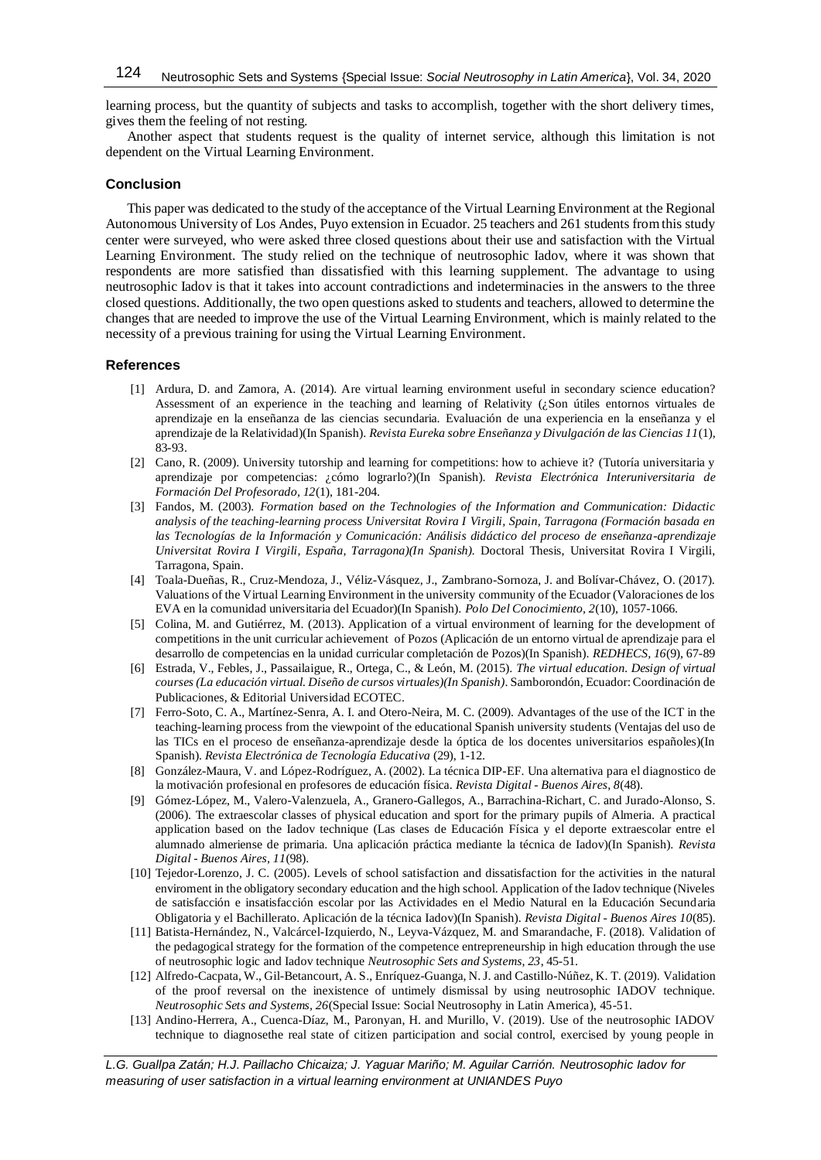learning process, but the quantity of subjects and tasks to accomplish, together with the short delivery times, gives them the feeling of not resting.

Another aspect that students request is the quality of internet service, although this limitation is not dependent on the Virtual Learning Environment.

## **Conclusion**

This paper was dedicated to the study of the acceptance of the Virtual Learning Environment at the Regional Autonomous University of Los Andes, Puyo extension in Ecuador. 25 teachers and 261 students from this study center were surveyed, who were asked three closed questions about their use and satisfaction with the Virtual Learning Environment. The study relied on the technique of neutrosophic Iadov, where it was shown that respondents are more satisfied than dissatisfied with this learning supplement. The advantage to using neutrosophic Iadov is that it takes into account contradictions and indeterminacies in the answers to the three closed questions. Additionally, the two open questions asked to students and teachers, allowed to determine the changes that are needed to improve the use of the Virtual Learning Environment, which is mainly related to the necessity of a previous training for using the Virtual Learning Environment.

## **References**

- [1] Ardura, D. and Zamora, A. (2014). Are virtual learning environment useful in secondary science education? Assessment of an experience in the teaching and learning of Relativity  $(2, S$ on útiles entornos virtuales de aprendizaje en la enseñanza de las ciencias secundaria. Evaluación de una experiencia en la enseñanza y el aprendizaje de la Relatividad)(In Spanish). *Revista Eureka sobre Enseñanza y Divulgación de las Ciencias 11*(1), 83-93.
- [2] Cano, R. (2009). University tutorship and learning for competitions: how to achieve it? (Tutoría universitaria y aprendizaje por competencias: ¿cómo lograrlo?)(In Spanish). *Revista Electrónica Interuniversitaria de Formación Del Profesorado, 12*(1), 181-204.
- [3] Fandos, M. (2003). *Formation based on the Technologies of the Information and Communication: Didactic analysis of the teaching-learning process Universitat Rovira I Virgili, Spain, Tarragona (Formación basada en las Tecnologías de la Información y Comunicación: Análisis didáctico del proceso de enseñanza-aprendizaje Universitat Rovira I Virgili, España, Tarragona)(In Spanish).* Doctoral Thesis, Universitat Rovira I Virgili, Tarragona, Spain.
- [4] Toala-Dueñas, R., Cruz-Mendoza, J., Véliz-Vásquez, J., Zambrano-Sornoza, J. and Bolívar-Chávez, O. (2017). Valuations of the Virtual Learning Environment in the university community of the Ecuador (Valoraciones de los EVA en la comunidad universitaria del Ecuador)(In Spanish). *Polo Del Conocimiento, 2*(10), 1057-1066.
- [5] Colina, M. and Gutiérrez, M. (2013). Application of a virtual environment of learning for the development of competitions in the unit curricular achievement of Pozos (Aplicación de un entorno virtual de aprendizaje para el desarrollo de competencias en la unidad curricular completación de Pozos)(In Spanish). *REDHECS, 16*(9), 67-89
- [6] Estrada, V., Febles, J., Passailaigue, R., Ortega, C., & León, M. (2015). *The virtual education. Design of virtual courses (La educación virtual. Diseño de cursos virtuales)(In Spanish)*. Samborondón, Ecuador: Coordinación de Publicaciones, & Editorial Universidad ECOTEC.
- [7] Ferro-Soto, C. A., Martínez-Senra, A. I. and Otero-Neira, M. C. (2009). Advantages of the use of the ICT in the teaching-learning process from the viewpoint of the educational Spanish university students (Ventajas del uso de las TICs en el proceso de enseñanza-aprendizaje desde la óptica de los docentes universitarios españoles)(In Spanish). *Revista Electrónica de Tecnología Educativa* (29), 1-12.
- [8] González-Maura, V. and López-Rodríguez, A. (2002). La técnica DIP-EF. Una alternativa para el diagnostico de la motivación profesional en profesores de educación física. *Revista Digital - Buenos Aires, 8*(48).
- [9] Gómez-López, M., Valero-Valenzuela, A., Granero-Gallegos, A., Barrachina-Richart, C. and Jurado-Alonso, S. (2006). The extraescolar classes of physical education and sport for the primary pupils of Almeria. A practical application based on the Iadov technique (Las clases de Educación Física y el deporte extraescolar entre el alumnado almeriense de primaria. Una aplicación práctica mediante la técnica de Iadov)(In Spanish). *Revista Digital - Buenos Aires, 11*(98).
- [10] Tejedor-Lorenzo, J. C. (2005). Levels of school satisfaction and dissatisfaction for the activities in the natural enviroment in the obligatory secondary education and the high school. Application of the Iadov technique (Niveles de satisfacción e insatisfacción escolar por las Actividades en el Medio Natural en la Educación Secundaria Obligatoria y el Bachillerato. Aplicación de la técnica Iadov)(In Spanish). *Revista Digital - Buenos Aires 10*(85).
- [11] Batista-Hernández, N., Valcárcel-Izquierdo, N., Leyva-Vázquez, M. and Smarandache, F. (2018). Validation of the pedagogical strategy for the formation of the competence entrepreneurship in high education through the use of neutrosophic logic and Iadov technique *Neutrosophic Sets and Systems, 23*, 45-51.
- [12] Alfredo-Cacpata, W., Gil-Betancourt, A. S., Enríquez-Guanga, N. J. and Castillo-Núñez, K. T. (2019). Validation of the proof reversal on the inexistence of untimely dismissal by using neutrosophic IADOV technique. *Neutrosophic Sets and Systems, 26*(Special Issue: Social Neutrosophy in Latin America), 45-51.
- [13] Andino-Herrera, A., Cuenca-Díaz, M., Paronyan, H. and Murillo, V. (2019). Use of the neutrosophic IADOV technique to diagnosethe real state of citizen participation and social control, exercised by young people in